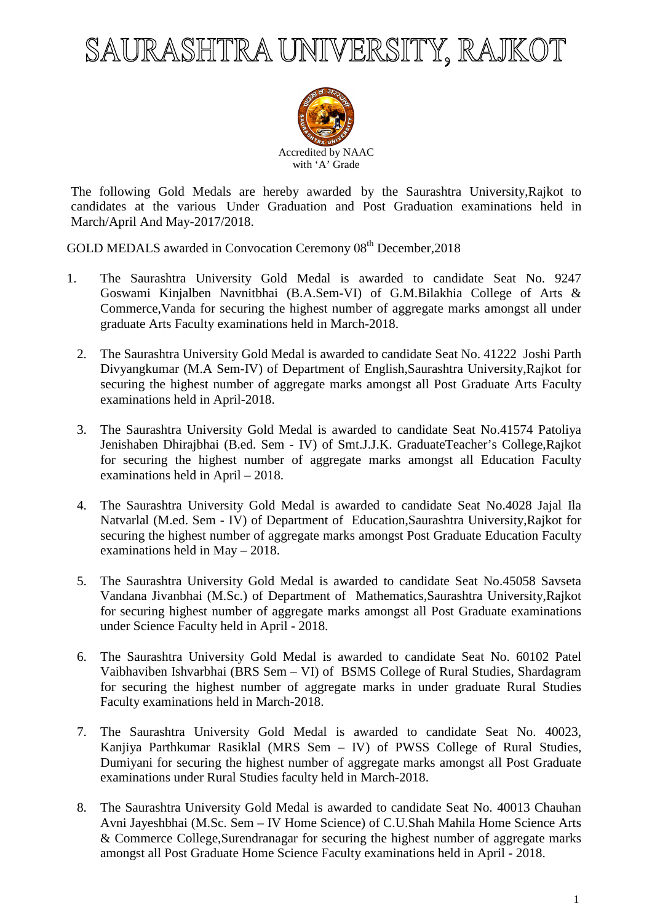# SAURASHTRA UNIVERSITY, RAJKOT



The following Gold Medals are hereby awarded by the Saurashtra University,Rajkot to candidates at the various Under Graduation and Post Graduation examinations held in March/April And May-2017/2018.

GOLD MEDALS awarded in Convocation Ceremony 08<sup>th</sup> December, 2018

- 1. The Saurashtra University Gold Medal is awarded to candidate Seat No. 9247 Goswami Kinjalben Navnitbhai (B.A.Sem-VI) of G.M.Bilakhia College of Arts & Commerce,Vanda for securing the highest number of aggregate marks amongst all under graduate Arts Faculty examinations held in March-2018.
	- 2. The Saurashtra University Gold Medal is awarded to candidate Seat No. 41222 Joshi Parth Divyangkumar (M.A Sem-IV) of Department of English,Saurashtra University,Rajkot for securing the highest number of aggregate marks amongst all Post Graduate Arts Faculty examinations held in April-2018.
	- 3. The Saurashtra University Gold Medal is awarded to candidate Seat No.41574 Patoliya Jenishaben Dhirajbhai (B.ed. Sem - IV) of Smt.J.J.K. GraduateTeacher's College,Rajkot for securing the highest number of aggregate marks amongst all Education Faculty examinations held in April – 2018.
	- 4. The Saurashtra University Gold Medal is awarded to candidate Seat No.4028 Jajal Ila Natvarlal (M.ed. Sem - IV) of Department of Education,Saurashtra University,Rajkot for securing the highest number of aggregate marks amongst Post Graduate Education Faculty examinations held in May – 2018.
	- 5. The Saurashtra University Gold Medal is awarded to candidate Seat No.45058 Savseta Vandana Jivanbhai (M.Sc.) of Department of Mathematics,Saurashtra University,Rajkot for securing highest number of aggregate marks amongst all Post Graduate examinations under Science Faculty held in April - 2018.
	- 6. The Saurashtra University Gold Medal is awarded to candidate Seat No. 60102 Patel Vaibhaviben Ishvarbhai (BRS Sem – VI) of BSMS College of Rural Studies, Shardagram for securing the highest number of aggregate marks in under graduate Rural Studies Faculty examinations held in March-2018.
	- 7. The Saurashtra University Gold Medal is awarded to candidate Seat No. 40023, Kanjiya Parthkumar Rasiklal (MRS Sem – IV) of PWSS College of Rural Studies, Dumiyani for securing the highest number of aggregate marks amongst all Post Graduate examinations under Rural Studies faculty held in March-2018.
	- 8. The Saurashtra University Gold Medal is awarded to candidate Seat No. 40013 Chauhan Avni Jayeshbhai (M.Sc. Sem – IV Home Science) of C.U.Shah Mahila Home Science Arts & Commerce College,Surendranagar for securing the highest number of aggregate marks amongst all Post Graduate Home Science Faculty examinations held in April - 2018.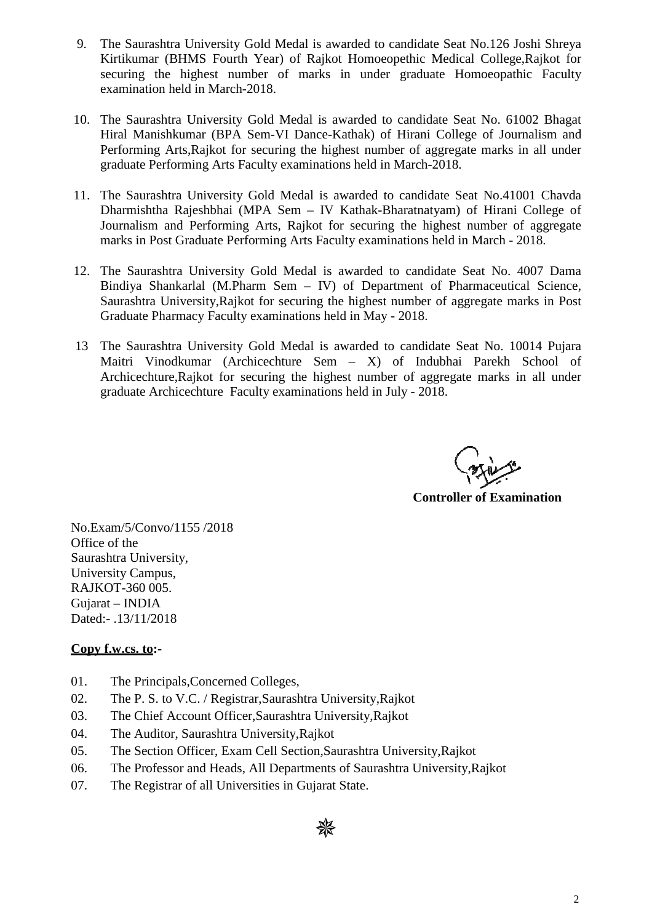- 9. The Saurashtra University Gold Medal is awarded to candidate Seat No.126 Joshi Shreya Kirtikumar (BHMS Fourth Year) of Rajkot Homoeopethic Medical College,Rajkot for securing the highest number of marks in under graduate Homoeopathic Faculty examination held in March-2018.
- 10. The Saurashtra University Gold Medal is awarded to candidate Seat No. 61002 Bhagat Hiral Manishkumar (BPA Sem-VI Dance-Kathak) of Hirani College of Journalism and Performing Arts,Rajkot for securing the highest number of aggregate marks in all under graduate Performing Arts Faculty examinations held in March-2018.
- 11. The Saurashtra University Gold Medal is awarded to candidate Seat No.41001 Chavda Dharmishtha Rajeshbhai (MPA Sem – IV Kathak-Bharatnatyam) of Hirani College of Journalism and Performing Arts, Rajkot for securing the highest number of aggregate marks in Post Graduate Performing Arts Faculty examinations held in March - 2018.
- 12. The Saurashtra University Gold Medal is awarded to candidate Seat No. 4007 Dama Bindiya Shankarlal (M.Pharm Sem – IV) of Department of Pharmaceutical Science, Saurashtra University,Rajkot for securing the highest number of aggregate marks in Post Graduate Pharmacy Faculty examinations held in May - 2018.
- 13 The Saurashtra University Gold Medal is awarded to candidate Seat No. 10014 Pujara Maitri Vinodkumar (Archicechture Sem – X) of Indubhai Parekh School of Archicechture,Rajkot for securing the highest number of aggregate marks in all under graduate Archicechture Faculty examinations held in July - 2018.

**Controller of Examination** 

No.Exam/5/Convo/1155 /2018 Office of the Saurashtra University, University Campus, RAJKOT-360 005. Gujarat – INDIA Dated:- .13/11/2018

#### **Copy f.w.cs. to:-**

- 01. The Principals,Concerned Colleges,
- 02. The P. S. to V.C. / Registrar,Saurashtra University,Rajkot
- 03. The Chief Account Officer,Saurashtra University,Rajkot
- 04. The Auditor, Saurashtra University,Rajkot
- 05. The Section Officer, Exam Cell Section,Saurashtra University,Rajkot
- 06. The Professor and Heads, All Departments of Saurashtra University,Rajkot
- 07. The Registrar of all Universities in Gujarat State.

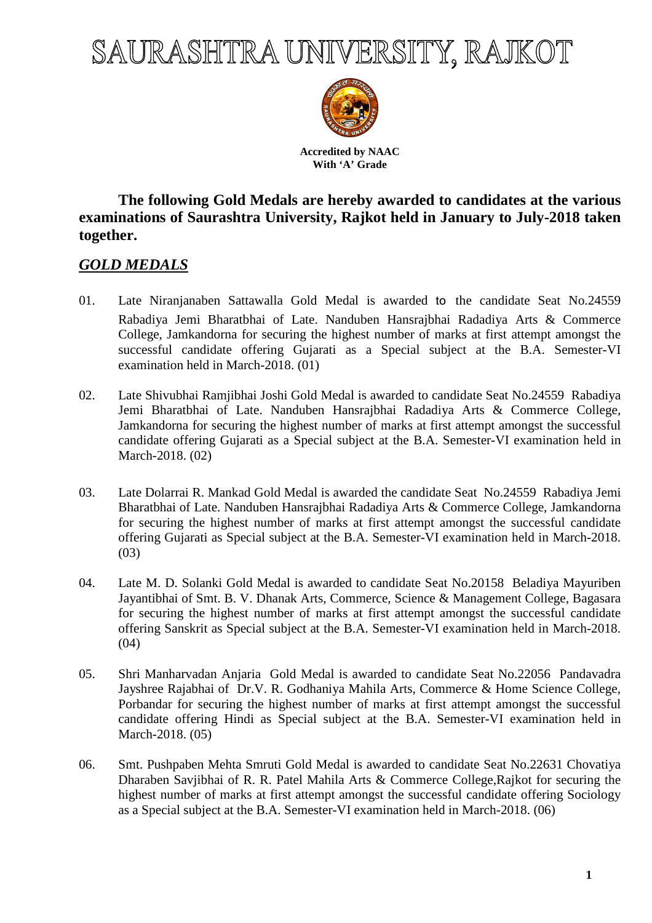## SAURASHTRA UNIVERSITY, RAJKOT



**Accredited by NAAC With 'A' Grade** 

### **The following Gold Medals are hereby awarded to candidates at the various examinations of Saurashtra University, Rajkot held in January to July-2018 taken together.**

## *GOLD MEDALS*

- 01. Late Niranjanaben Sattawalla Gold Medal is awarded to the candidate Seat No.24559 Rabadiya Jemi Bharatbhai of Late. Nanduben Hansrajbhai Radadiya Arts & Commerce College, Jamkandorna for securing the highest number of marks at first attempt amongst the successful candidate offering Gujarati as a Special subject at the B.A. Semester-VI examination held in March-2018. (01)
- 02. Late Shivubhai Ramjibhai Joshi Gold Medal is awarded to candidate Seat No.24559 Rabadiya Jemi Bharatbhai of Late. Nanduben Hansrajbhai Radadiya Arts & Commerce College, Jamkandorna for securing the highest number of marks at first attempt amongst the successful candidate offering Gujarati as a Special subject at the B.A. Semester-VI examination held in March-2018. (02)
- 03. Late Dolarrai R. Mankad Gold Medal is awarded the candidate Seat No.24559 Rabadiya Jemi Bharatbhai of Late. Nanduben Hansrajbhai Radadiya Arts & Commerce College, Jamkandorna for securing the highest number of marks at first attempt amongst the successful candidate offering Gujarati as Special subject at the B.A. Semester-VI examination held in March-2018. (03)
- 04. Late M. D. Solanki Gold Medal is awarded to candidate Seat No.20158 Beladiya Mayuriben Jayantibhai of Smt. B. V. Dhanak Arts, Commerce, Science & Management College, Bagasara for securing the highest number of marks at first attempt amongst the successful candidate offering Sanskrit as Special subject at the B.A. Semester-VI examination held in March-2018.  $(04)$
- 05. Shri Manharvadan Anjaria Gold Medal is awarded to candidate Seat No.22056 Pandavadra Jayshree Rajabhai of Dr.V. R. Godhaniya Mahila Arts, Commerce & Home Science College, Porbandar for securing the highest number of marks at first attempt amongst the successful candidate offering Hindi as Special subject at the B.A. Semester-VI examination held in March-2018. (05)
- 06. Smt. Pushpaben Mehta Smruti Gold Medal is awarded to candidate Seat No.22631 Chovatiya Dharaben Savjibhai of R. R. Patel Mahila Arts & Commerce College,Rajkot for securing the highest number of marks at first attempt amongst the successful candidate offering Sociology as a Special subject at the B.A. Semester-VI examination held in March-2018. (06)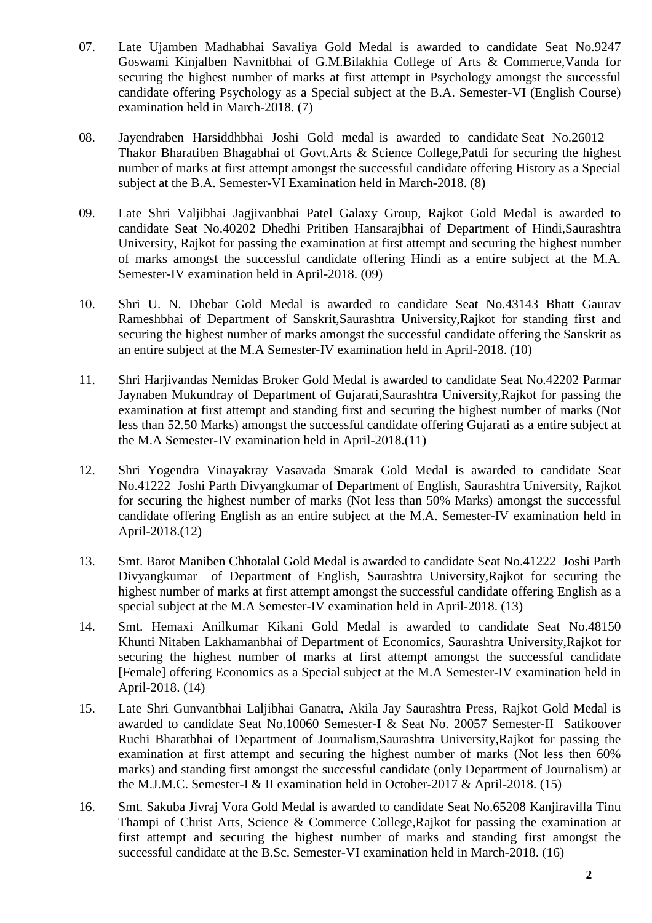- 07. Late Ujamben Madhabhai Savaliya Gold Medal is awarded to candidate Seat No.9247 Goswami Kinjalben Navnitbhai of G.M.Bilakhia College of Arts & Commerce,Vanda for securing the highest number of marks at first attempt in Psychology amongst the successful candidate offering Psychology as a Special subject at the B.A. Semester-VI (English Course) examination held in March-2018. (7)
- 08. Jayendraben Harsiddhbhai Joshi Gold medal is awarded to candidate Seat No.26012 Thakor Bharatiben Bhagabhai of Govt.Arts & Science College,Patdi for securing the highest number of marks at first attempt amongst the successful candidate offering History as a Special subject at the B.A. Semester-VI Examination held in March-2018. (8)
- 09. Late Shri Valjibhai Jagjivanbhai Patel Galaxy Group, Rajkot Gold Medal is awarded to candidate Seat No.40202 Dhedhi Pritiben Hansarajbhai of Department of Hindi,Saurashtra University, Rajkot for passing the examination at first attempt and securing the highest number of marks amongst the successful candidate offering Hindi as a entire subject at the M.A. Semester-IV examination held in April-2018. (09)
- 10. Shri U. N. Dhebar Gold Medal is awarded to candidate Seat No.43143 Bhatt Gaurav Rameshbhai of Department of Sanskrit,Saurashtra University,Rajkot for standing first and securing the highest number of marks amongst the successful candidate offering the Sanskrit as an entire subject at the M.A Semester-IV examination held in April-2018. (10)
- 11. Shri Harjivandas Nemidas Broker Gold Medal is awarded to candidate Seat No.42202 Parmar Jaynaben Mukundray of Department of Gujarati,Saurashtra University,Rajkot for passing the examination at first attempt and standing first and securing the highest number of marks (Not less than 52.50 Marks) amongst the successful candidate offering Gujarati as a entire subject at the M.A Semester-IV examination held in April-2018.(11)
- 12. Shri Yogendra Vinayakray Vasavada Smarak Gold Medal is awarded to candidate Seat No.41222 Joshi Parth Divyangkumar of Department of English, Saurashtra University, Rajkot for securing the highest number of marks (Not less than 50% Marks) amongst the successful candidate offering English as an entire subject at the M.A. Semester-IV examination held in April-2018.(12)
- 13. Smt. Barot Maniben Chhotalal Gold Medal is awarded to candidate Seat No.41222 Joshi Parth Divyangkumar of Department of English, Saurashtra University,Rajkot for securing the highest number of marks at first attempt amongst the successful candidate offering English as a special subject at the M.A Semester-IV examination held in April-2018. (13)
- 14. Smt. Hemaxi Anilkumar Kikani Gold Medal is awarded to candidate Seat No.48150 Khunti Nitaben Lakhamanbhai of Department of Economics, Saurashtra University,Rajkot for securing the highest number of marks at first attempt amongst the successful candidate [Female] offering Economics as a Special subject at the M.A Semester-IV examination held in April-2018. (14)
- 15. Late Shri Gunvantbhai Laljibhai Ganatra, Akila Jay Saurashtra Press, Rajkot Gold Medal is awarded to candidate Seat No.10060 Semester-I & Seat No. 20057 Semester-II Satikoover Ruchi Bharatbhai of Department of Journalism,Saurashtra University,Rajkot for passing the examination at first attempt and securing the highest number of marks (Not less then 60% marks) and standing first amongst the successful candidate (only Department of Journalism) at the M.J.M.C. Semester-I & II examination held in October-2017 & April-2018. (15)
- 16. Smt. Sakuba Jivraj Vora Gold Medal is awarded to candidate Seat No.65208 Kanjiravilla Tinu Thampi of Christ Arts, Science & Commerce College,Rajkot for passing the examination at first attempt and securing the highest number of marks and standing first amongst the successful candidate at the B.Sc. Semester-VI examination held in March-2018. (16)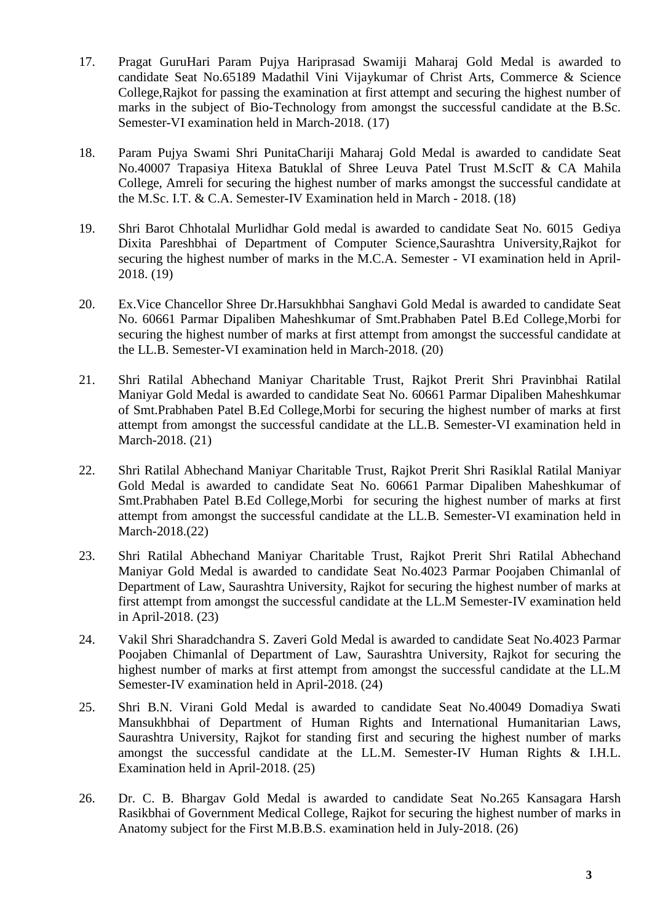- 17. Pragat GuruHari Param Pujya Hariprasad Swamiji Maharaj Gold Medal is awarded to candidate Seat No.65189 Madathil Vini Vijaykumar of Christ Arts, Commerce & Science College,Rajkot for passing the examination at first attempt and securing the highest number of marks in the subject of Bio-Technology from amongst the successful candidate at the B.Sc. Semester-VI examination held in March-2018. (17)
- 18. Param Pujya Swami Shri PunitaChariji Maharaj Gold Medal is awarded to candidate Seat No.40007 Trapasiya Hitexa Batuklal of Shree Leuva Patel Trust M.ScIT & CA Mahila College, Amreli for securing the highest number of marks amongst the successful candidate at the M.Sc. I.T. & C.A. Semester-IV Examination held in March - 2018. (18)
- 19. Shri Barot Chhotalal Murlidhar Gold medal is awarded to candidate Seat No. 6015 Gediya Dixita Pareshbhai of Department of Computer Science,Saurashtra University,Rajkot for securing the highest number of marks in the M.C.A. Semester - VI examination held in April-2018. (19)
- 20. Ex.Vice Chancellor Shree Dr.Harsukhbhai Sanghavi Gold Medal is awarded to candidate Seat No. 60661 Parmar Dipaliben Maheshkumar of Smt.Prabhaben Patel B.Ed College,Morbi for securing the highest number of marks at first attempt from amongst the successful candidate at the LL.B. Semester-VI examination held in March-2018. (20)
- 21. Shri Ratilal Abhechand Maniyar Charitable Trust, Rajkot Prerit Shri Pravinbhai Ratilal Maniyar Gold Medal is awarded to candidate Seat No. 60661 Parmar Dipaliben Maheshkumar of Smt.Prabhaben Patel B.Ed College,Morbi for securing the highest number of marks at first attempt from amongst the successful candidate at the LL.B. Semester-VI examination held in March-2018. (21)
- 22. Shri Ratilal Abhechand Maniyar Charitable Trust, Rajkot Prerit Shri Rasiklal Ratilal Maniyar Gold Medal is awarded to candidate Seat No. 60661 Parmar Dipaliben Maheshkumar of Smt.Prabhaben Patel B.Ed College,Morbi for securing the highest number of marks at first attempt from amongst the successful candidate at the LL.B. Semester-VI examination held in March-2018.(22)
- 23. Shri Ratilal Abhechand Maniyar Charitable Trust, Rajkot Prerit Shri Ratilal Abhechand Maniyar Gold Medal is awarded to candidate Seat No.4023 Parmar Poojaben Chimanlal of Department of Law, Saurashtra University, Rajkot for securing the highest number of marks at first attempt from amongst the successful candidate at the LL.M Semester-IV examination held in April-2018. (23)
- 24. Vakil Shri Sharadchandra S. Zaveri Gold Medal is awarded to candidate Seat No.4023 Parmar Poojaben Chimanlal of Department of Law, Saurashtra University, Rajkot for securing the highest number of marks at first attempt from amongst the successful candidate at the LL.M Semester-IV examination held in April-2018. (24)
- 25. Shri B.N. Virani Gold Medal is awarded to candidate Seat No.40049 Domadiya Swati Mansukhbhai of Department of Human Rights and International Humanitarian Laws, Saurashtra University, Rajkot for standing first and securing the highest number of marks amongst the successful candidate at the LL.M. Semester-IV Human Rights & I.H.L. Examination held in April-2018. (25)
- 26. Dr. C. B. Bhargav Gold Medal is awarded to candidate Seat No.265 Kansagara Harsh Rasikbhai of Government Medical College, Rajkot for securing the highest number of marks in Anatomy subject for the First M.B.B.S. examination held in July-2018. (26)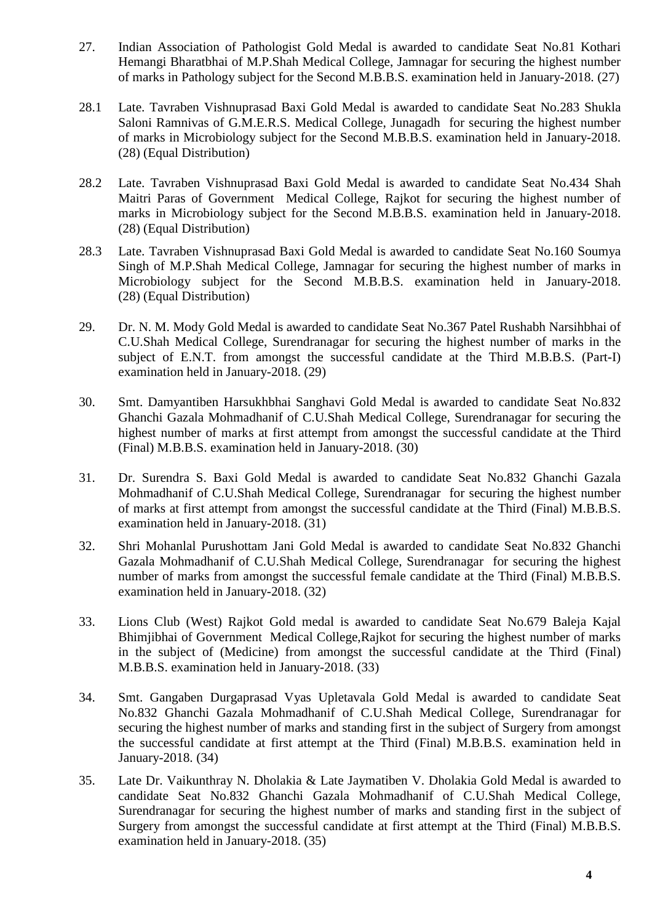- 27. Indian Association of Pathologist Gold Medal is awarded to candidate Seat No.81 Kothari Hemangi Bharatbhai of M.P.Shah Medical College, Jamnagar for securing the highest number of marks in Pathology subject for the Second M.B.B.S. examination held in January-2018. (27)
- 28.1 Late. Tavraben Vishnuprasad Baxi Gold Medal is awarded to candidate Seat No.283 Shukla Saloni Ramnivas of G.M.E.R.S. Medical College, Junagadh for securing the highest number of marks in Microbiology subject for the Second M.B.B.S. examination held in January-2018. (28) (Equal Distribution)
- 28.2 Late. Tavraben Vishnuprasad Baxi Gold Medal is awarded to candidate Seat No.434 Shah Maitri Paras of Government Medical College, Rajkot for securing the highest number of marks in Microbiology subject for the Second M.B.B.S. examination held in January-2018. (28) (Equal Distribution)
- 28.3 Late. Tavraben Vishnuprasad Baxi Gold Medal is awarded to candidate Seat No.160 Soumya Singh of M.P.Shah Medical College, Jamnagar for securing the highest number of marks in Microbiology subject for the Second M.B.B.S. examination held in January-2018. (28) (Equal Distribution)
- 29. Dr. N. M. Mody Gold Medal is awarded to candidate Seat No.367 Patel Rushabh Narsihbhai of C.U.Shah Medical College, Surendranagar for securing the highest number of marks in the subject of E.N.T. from amongst the successful candidate at the Third M.B.B.S. (Part-I) examination held in January-2018. (29)
- 30. Smt. Damyantiben Harsukhbhai Sanghavi Gold Medal is awarded to candidate Seat No.832 Ghanchi Gazala Mohmadhanif of C.U.Shah Medical College, Surendranagar for securing the highest number of marks at first attempt from amongst the successful candidate at the Third (Final) M.B.B.S. examination held in January-2018. (30)
- 31. Dr. Surendra S. Baxi Gold Medal is awarded to candidate Seat No.832 Ghanchi Gazala Mohmadhanif of C.U.Shah Medical College, Surendranagar for securing the highest number of marks at first attempt from amongst the successful candidate at the Third (Final) M.B.B.S. examination held in January-2018. (31)
- 32. Shri Mohanlal Purushottam Jani Gold Medal is awarded to candidate Seat No.832 Ghanchi Gazala Mohmadhanif of C.U.Shah Medical College, Surendranagar for securing the highest number of marks from amongst the successful female candidate at the Third (Final) M.B.B.S. examination held in January-2018. (32)
- 33. Lions Club (West) Rajkot Gold medal is awarded to candidate Seat No.679 Baleja Kajal Bhimjibhai of Government Medical College,Rajkot for securing the highest number of marks in the subject of (Medicine) from amongst the successful candidate at the Third (Final) M.B.B.S. examination held in January-2018. (33)
- 34. Smt. Gangaben Durgaprasad Vyas Upletavala Gold Medal is awarded to candidate Seat No.832 Ghanchi Gazala Mohmadhanif of C.U.Shah Medical College, Surendranagar for securing the highest number of marks and standing first in the subject of Surgery from amongst the successful candidate at first attempt at the Third (Final) M.B.B.S. examination held in January-2018. (34)
- 35. Late Dr. Vaikunthray N. Dholakia & Late Jaymatiben V. Dholakia Gold Medal is awarded to candidate Seat No.832 Ghanchi Gazala Mohmadhanif of C.U.Shah Medical College, Surendranagar for securing the highest number of marks and standing first in the subject of Surgery from amongst the successful candidate at first attempt at the Third (Final) M.B.B.S. examination held in January-2018. (35)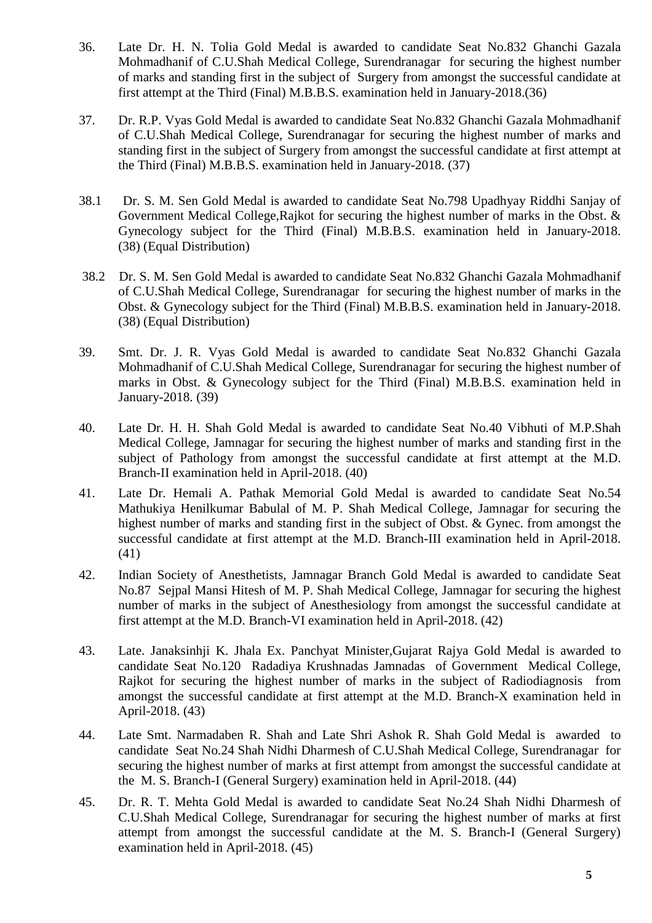- 36. Late Dr. H. N. Tolia Gold Medal is awarded to candidate Seat No.832 Ghanchi Gazala Mohmadhanif of C.U.Shah Medical College, Surendranagar for securing the highest number of marks and standing first in the subject of Surgery from amongst the successful candidate at first attempt at the Third (Final) M.B.B.S. examination held in January-2018.(36)
- 37. Dr. R.P. Vyas Gold Medal is awarded to candidate Seat No.832 Ghanchi Gazala Mohmadhanif of C.U.Shah Medical College, Surendranagar for securing the highest number of marks and standing first in the subject of Surgery from amongst the successful candidate at first attempt at the Third (Final) M.B.B.S. examination held in January-2018. (37)
- 38.1 Dr. S. M. Sen Gold Medal is awarded to candidate Seat No.798 Upadhyay Riddhi Sanjay of Government Medical College,Rajkot for securing the highest number of marks in the Obst. & Gynecology subject for the Third (Final) M.B.B.S. examination held in January-2018. (38) (Equal Distribution)
- 38.2 Dr. S. M. Sen Gold Medal is awarded to candidate Seat No.832 Ghanchi Gazala Mohmadhanif of C.U.Shah Medical College, Surendranagar for securing the highest number of marks in the Obst. & Gynecology subject for the Third (Final) M.B.B.S. examination held in January-2018. (38) (Equal Distribution)
- 39. Smt. Dr. J. R. Vyas Gold Medal is awarded to candidate Seat No.832 Ghanchi Gazala Mohmadhanif of C.U.Shah Medical College, Surendranagar for securing the highest number of marks in Obst. & Gynecology subject for the Third (Final) M.B.B.S. examination held in January-2018. (39)
- 40. Late Dr. H. H. Shah Gold Medal is awarded to candidate Seat No.40 Vibhuti of M.P.Shah Medical College, Jamnagar for securing the highest number of marks and standing first in the subject of Pathology from amongst the successful candidate at first attempt at the M.D. Branch-II examination held in April-2018. (40)
- 41. Late Dr. Hemali A. Pathak Memorial Gold Medal is awarded to candidate Seat No.54 Mathukiya Henilkumar Babulal of M. P. Shah Medical College, Jamnagar for securing the highest number of marks and standing first in the subject of Obst. & Gynec. from amongst the successful candidate at first attempt at the M.D. Branch-III examination held in April-2018. (41)
- 42. Indian Society of Anesthetists, Jamnagar Branch Gold Medal is awarded to candidate Seat No.87 Sejpal Mansi Hitesh of M. P. Shah Medical College, Jamnagar for securing the highest number of marks in the subject of Anesthesiology from amongst the successful candidate at first attempt at the M.D. Branch-VI examination held in April-2018. (42)
- 43. Late. Janaksinhji K. Jhala Ex. Panchyat Minister,Gujarat Rajya Gold Medal is awarded to candidate Seat No.120 Radadiya Krushnadas Jamnadas of Government Medical College, Rajkot for securing the highest number of marks in the subject of Radiodiagnosis from amongst the successful candidate at first attempt at the M.D. Branch-X examination held in April-2018. (43)
- 44. Late Smt. Narmadaben R. Shah and Late Shri Ashok R. Shah Gold Medal is awarded to candidate Seat No.24 Shah Nidhi Dharmesh of C.U.Shah Medical College, Surendranagar for securing the highest number of marks at first attempt from amongst the successful candidate at the M. S. Branch-I (General Surgery) examination held in April-2018. (44)
- 45. Dr. R. T. Mehta Gold Medal is awarded to candidate Seat No.24 Shah Nidhi Dharmesh of C.U.Shah Medical College, Surendranagar for securing the highest number of marks at first attempt from amongst the successful candidate at the M. S. Branch-I (General Surgery) examination held in April-2018. (45)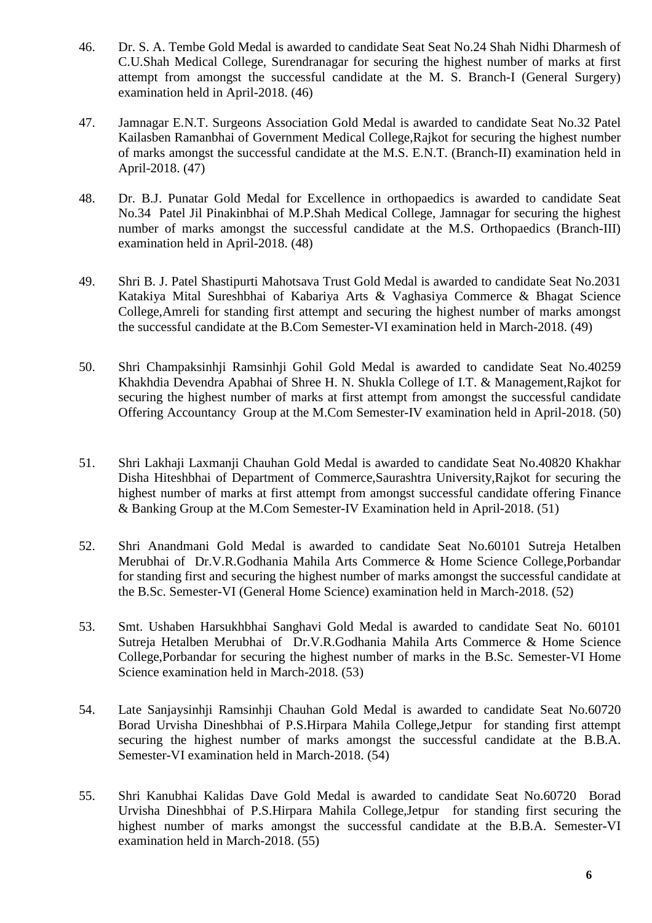- 46. Dr. S. A. Tembe Gold Medal is awarded to candidate Seat Seat No.24 Shah Nidhi Dharmesh of C.U.Shah Medical College, Surendranagar for securing the highest number of marks at first attempt from amongst the successful candidate at the M. S. Branch-I (General Surgery) examination held in April-2018. (46)
- 47. Jamnagar E.N.T. Surgeons Association Gold Medal is awarded to candidate Seat No.32 Patel Kailasben Ramanbhai of Government Medical College,Rajkot for securing the highest number of marks amongst the successful candidate at the M.S. E.N.T. (Branch-II) examination held in April-2018. (47)
- 48. Dr. B.J. Punatar Gold Medal for Excellence in orthopaedics is awarded to candidate Seat No.34 Patel Jil Pinakinbhai of M.P.Shah Medical College, Jamnagar for securing the highest number of marks amongst the successful candidate at the M.S. Orthopaedics (Branch-III) examination held in April-2018. (48)
- 49. Shri B. J. Patel Shastipurti Mahotsava Trust Gold Medal is awarded to candidate Seat No.2031 Katakiya Mital Sureshbhai of Kabariya Arts & Vaghasiya Commerce & Bhagat Science College,Amreli for standing first attempt and securing the highest number of marks amongst the successful candidate at the B.Com Semester-VI examination held in March-2018. (49)
- 50. Shri Champaksinhji Ramsinhji Gohil Gold Medal is awarded to candidate Seat No.40259 Khakhdia Devendra Apabhai of Shree H. N. Shukla College of I.T. & Management,Rajkot for securing the highest number of marks at first attempt from amongst the successful candidate Offering Accountancy Group at the M.Com Semester-IV examination held in April-2018. (50)
- 51. Shri Lakhaji Laxmanji Chauhan Gold Medal is awarded to candidate Seat No.40820 Khakhar Disha Hiteshbhai of Department of Commerce,Saurashtra University,Rajkot for securing the highest number of marks at first attempt from amongst successful candidate offering Finance & Banking Group at the M.Com Semester-IV Examination held in April-2018. (51)
- 52. Shri Anandmani Gold Medal is awarded to candidate Seat No.60101 Sutreja Hetalben Merubhai of Dr.V.R.Godhania Mahila Arts Commerce & Home Science College,Porbandar for standing first and securing the highest number of marks amongst the successful candidate at the B.Sc. Semester-VI (General Home Science) examination held in March-2018. (52)
- 53. Smt. Ushaben Harsukhbhai Sanghavi Gold Medal is awarded to candidate Seat No. 60101 Sutreja Hetalben Merubhai of Dr.V.R.Godhania Mahila Arts Commerce & Home Science College,Porbandar for securing the highest number of marks in the B.Sc. Semester-VI Home Science examination held in March-2018. (53)
- 54. Late Sanjaysinhji Ramsinhji Chauhan Gold Medal is awarded to candidate Seat No.60720 Borad Urvisha Dineshbhai of P.S.Hirpara Mahila College,Jetpur for standing first attempt securing the highest number of marks amongst the successful candidate at the B.B.A. Semester-VI examination held in March-2018. (54)
- 55. Shri Kanubhai Kalidas Dave Gold Medal is awarded to candidate Seat No.60720 Borad Urvisha Dineshbhai of P.S.Hirpara Mahila College,Jetpur for standing first securing the highest number of marks amongst the successful candidate at the B.B.A. Semester-VI examination held in March-2018. (55)